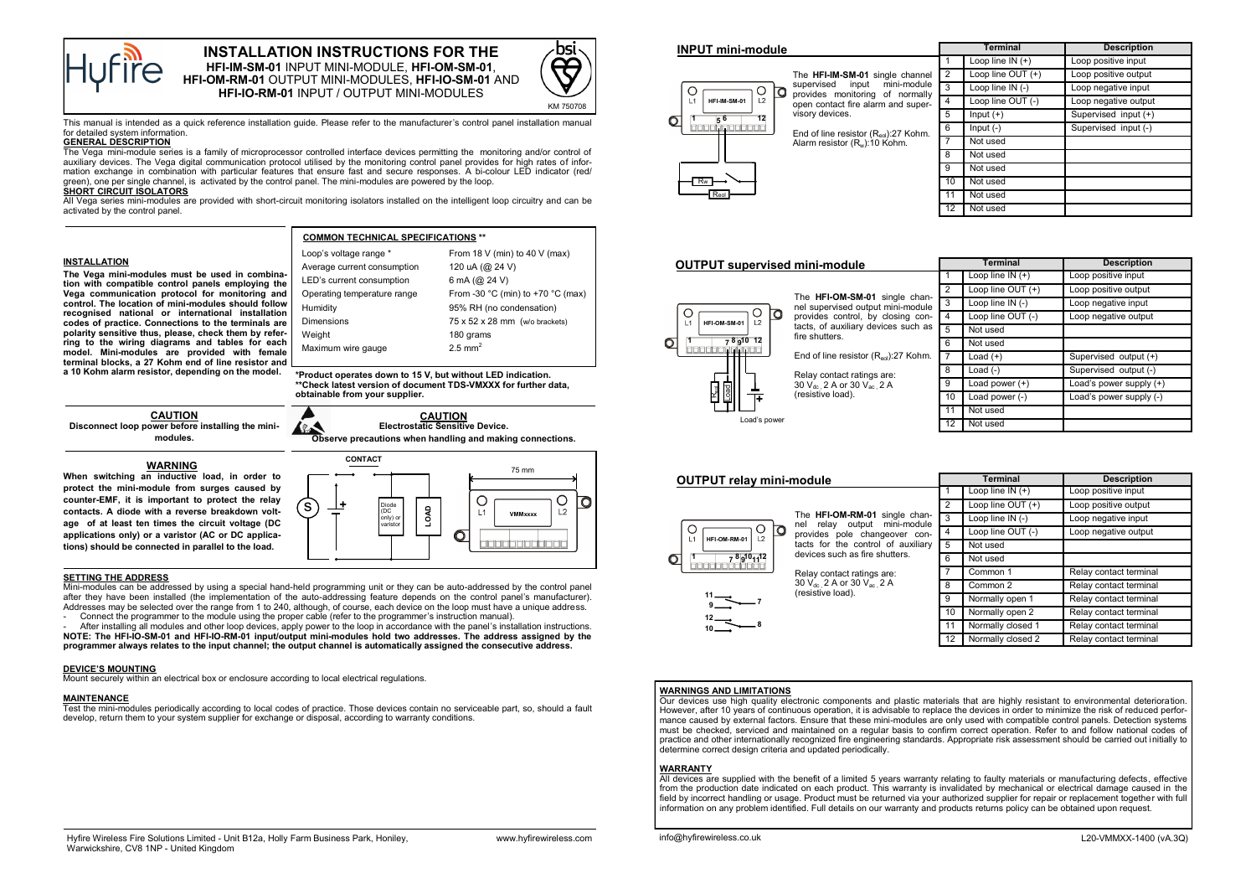

# **INSTALLATION INSTRUCTIONS FOR THE HFI-IM-SM-01** INPUT MINI-MODULE, **HFI-OM-SM-01**, **HFI-OM-RM-01** OUTPUT MINI-MODULES, **HFI-IO-SM-01** AND **HFI-IO-RM-01** INPUT / OUTPUT MINI-MODULES



This manual is intended as a quick reference installation guide. Please refer to the manufacturer's control panel installation manual for detailed system information.

## **GENERAL DESCRIPTION**

The Vega mini-module series is a family of microprocessor controlled interface devices permitting the monitoring and/or control of auxiliary devices. The Vega digital communication protocol utilised by the monitoring control panel provides for high rates of information exchange in combination with particular features that ensure fast and secure responses. A bi-colour LED indicator (red/ green), one per single channel, is activated by the control panel. The mini-modules are powered by the loop.

# **SHORT CIRCUIT ISOLATORS**

All Vega series mini-modules are provided with short-circuit monitoring isolators installed on the intelligent loop circuitry and can be activated by the control panel.

### **INSTALLATION**

**The Vega mini-modules must be used in combination with compatible control panels employing the Vega communication protocol for monitoring and control. The location of mini-modules should follow recognised national or international installation codes of practice. Connections to the terminals are polarity sensitive thus, please, check them by referring to the wiring diagrams and tables for each model. Mini-modules are provided with female terminal blocks, a 27 Kohm end of line resistor and a 10 Kohm alarm resistor, depending on the model.**

| Loop's voltage range *                                      | From 18 V (min) to 40 V (max)     |  |  |  |  |
|-------------------------------------------------------------|-----------------------------------|--|--|--|--|
| Average current consumption                                 | 120 uA (@ 24 V)                   |  |  |  |  |
| LED's current consumption                                   | 6 mA $(Q$ 24 V)                   |  |  |  |  |
| Operating temperature range                                 | From -30 °C (min) to +70 °C (max) |  |  |  |  |
| Humidity                                                    | 95% RH (no condensation)          |  |  |  |  |
| Dimensions                                                  | 75 x 52 x 28 mm (w/o brackets)    |  |  |  |  |
| Weight                                                      | 180 grams                         |  |  |  |  |
| Maximum wire gauge                                          | $2.5$ mm <sup>2</sup>             |  |  |  |  |
| *Product operates down to 15 V, but without LED indication. |                                   |  |  |  |  |
|                                                             |                                   |  |  |  |  |

**COMMON TECHNICAL SPECIFICATIONS \*\***

**CAUTION \*Product operates down to 15 V, but without LED indication. \*\*Check latest version of document TDS-VMXXX for further data, obtainable from your supplier.**

**CAUTION Disconnect loop power before installing the minimodules.**

**WARNING When switching an inductive load, in order to protect the mini-module from surges caused by counter-EMF, it is important to protect the relay contacts. A diode with a reverse breakdown voltage of at least ten times the circuit voltage (DC applications only) or a varistor (AC or DC applications) should be connected in parallel to the load.**



#### **SETTING THE ADDRESS**

Mini-modules can be addressed by using a special hand-held programming unit or they can be auto-addressed by the control panel after they have been installed (the implementation of the auto-addressing feature depends on the control panel's manufacturer). Addresses may be selected over the range from 1 to 240, although, of course, each device on the loop must have a unique address. - Connect the programmer to the module using the proper cable (refer to the programmer's instruction manual).

- After installing all modules and other loop devices, apply power to the loop in accordance with the panel's installation instructions.

**NOTE: The HFI-IO-SM-01 and HFI-IO-RM-01 input/output mini-modules hold two addresses. The address assigned by the programmer always relates to the input channel; the output channel is automatically assigned the consecutive address.**

### **DEVICE'S MOUNTING**

Mount securely within an electrical box or enclosure according to local electrical regulations.

# **MAINTENANCE**

Test the mini-modules periodically according to local codes of practice. Those devices contain no serviceable part, so, should a fault develop, return them to your system supplier for exchange or disposal, according to warranty conditions.

| <b>INPUT mini-module</b>             |                                                                                                                                                                                                                                                                  |                | <b>Terminal</b>      | <b>Description</b>   |
|--------------------------------------|------------------------------------------------------------------------------------------------------------------------------------------------------------------------------------------------------------------------------------------------------------------|----------------|----------------------|----------------------|
|                                      |                                                                                                                                                                                                                                                                  |                | Loop line $IN (+)$   | Loop positive input  |
|                                      | The HFI-IM-SM-01 single channel<br>input mini-module<br>supervised<br>provides monitoring of normally<br>open contact fire alarm and super-<br>visory devices.<br>End of line resistor $(R_{\text{sol}})$ :27 Kohm.<br>Alarm resistor (R <sub>w</sub> ):10 Kohm. | $\overline{2}$ | Loop line $OUT (+)$  | Loop positive output |
| O                                    |                                                                                                                                                                                                                                                                  | 3              | Loop line $IN$ $(-)$ | Loop negative input  |
| 12<br>HFI-IM-SM-01<br>L1             |                                                                                                                                                                                                                                                                  | $\overline{4}$ | Loop line OUT (-)    | Loop negative output |
| $\sigma$<br>$\overline{12}$<br>$5^6$ |                                                                                                                                                                                                                                                                  | 5              | $Input (+)$          | Supervised input (+) |
| 10000000000                          |                                                                                                                                                                                                                                                                  | 6              | Input $(-)$          | Supervised input (-) |
|                                      |                                                                                                                                                                                                                                                                  |                | Not used             |                      |
|                                      |                                                                                                                                                                                                                                                                  | 8              | Not used             |                      |
|                                      |                                                                                                                                                                                                                                                                  |                | Not used             |                      |
| Rw                                   |                                                                                                                                                                                                                                                                  | 10             | Not used             |                      |

Not used Not used



Reol

|                                      |                | <b>Terminal</b>    | <b>Description</b>      |
|--------------------------------------|----------------|--------------------|-------------------------|
|                                      | 1              | Loop line $IN (+)$ | Loop positive input     |
|                                      | $\overline{2}$ | Loop line OUT (+)  | Loop positive output    |
| single chan-<br>t mini-module        | 3              | Loop line IN (-)   | Loop negative input     |
| closing con-<br><i>i</i> ces such as | 4              | Loop line OUT (-)  | Loop negative output    |
|                                      | 5              | Not used           |                         |
|                                      | 6              | Not used           |                         |
| $\lambda_{\text{ecl}}$ ):27 Kohm.    |                | Load $(+)$         | Supervised output (+)   |
| are:                                 | 8              | Load $(-)$         | Supervised output (-)   |
| 2 A                                  | 9              | Load power $(+)$   | Load's power supply (+) |
|                                      | 10             | Load power (-)     | Load's power supply (-) |
|                                      | 11             | Not used           |                         |
|                                      | 12             | Not used           |                         |

| <b>OUTPUT relay mini-module</b>                                                                                                                                                                                                                                                                         |                                                                     | <b>Terminal</b>               |                        | <b>Description</b>     |                        |
|---------------------------------------------------------------------------------------------------------------------------------------------------------------------------------------------------------------------------------------------------------------------------------------------------------|---------------------------------------------------------------------|-------------------------------|------------------------|------------------------|------------------------|
|                                                                                                                                                                                                                                                                                                         |                                                                     |                               |                        | Loop line $IN (+)$     | Loop positive input    |
| mini-module<br>relav output<br>nel<br>lo<br>O<br>$\overline{2}$<br>HFI-OM-RM-01<br>L1<br>devices such as fire shutters.<br>$78q^{10}$ <sub>11</sub> 12<br>10000000000<br>Relay contact ratings are:<br>30 V <sub>dc</sub> 2 A or 30 V <sub>ac</sub> 2 A<br>(resistive load).<br>$11 \rightarrow$<br>۔۔۔ |                                                                     | The HFI-OM-RM-01 single chan- | 2                      | Loop line OUT (+)      | Loop positive output   |
|                                                                                                                                                                                                                                                                                                         |                                                                     |                               | 3                      | Loop line $IN$ $(-)$   | Loop negative input    |
|                                                                                                                                                                                                                                                                                                         | provides pole changeover con-<br>tacts for the control of auxiliary | 4                             | Loop line OUT (-)      | Loop negative output   |                        |
|                                                                                                                                                                                                                                                                                                         |                                                                     | 5                             | Not used               |                        |                        |
|                                                                                                                                                                                                                                                                                                         |                                                                     | 6                             | Not used               |                        |                        |
|                                                                                                                                                                                                                                                                                                         |                                                                     |                               | Common 1               | Relay contact terminal |                        |
|                                                                                                                                                                                                                                                                                                         |                                                                     |                               | 8                      | Common 2               | Relay contact terminal |
|                                                                                                                                                                                                                                                                                                         | 9                                                                   | Normally open 1               | Relay contact terminal |                        |                        |
|                                                                                                                                                                                                                                                                                                         |                                                                     | 10                            | Normally open 2        | Relay contact terminal |                        |
|                                                                                                                                                                                                                                                                                                         |                                                                     |                               | 11                     | Normally closed 1      | Relay contact terminal |
|                                                                                                                                                                                                                                                                                                         |                                                                     |                               | 12                     | Normally closed 2      | Relay contact terminal |

## **WARNINGS AND LIMITATIONS**

Our devices use high quality electronic components and plastic materials that are highly resistant to environmental deterioration. However, after 10 years of continuous operation, it is advisable to replace the devices in order to minimize the risk of reduced performance caused by external factors. Ensure that these mini-modules are only used with compatible control panels. Detection systems must be checked, serviced and maintained on a regular basis to confirm correct operation. Refer to and follow national codes of practice and other internationally recognized fire engineering standards. Appropriate risk assessment should be carried out initially to determine correct design criteria and updated periodically.

#### **WARRANTY**

All devices are supplied with the benefit of a limited 5 years warranty relating to faulty materials or manufacturing defects, effective from the production date indicated on each product. This warranty is invalidated by mechanical or electrical damage caused in the field by incorrect handling or usage. Product must be returned via your authorized supplier for repair or replacement together with full information on any problem identified. Full details on our warranty and products returns policy can be obtained upon request.